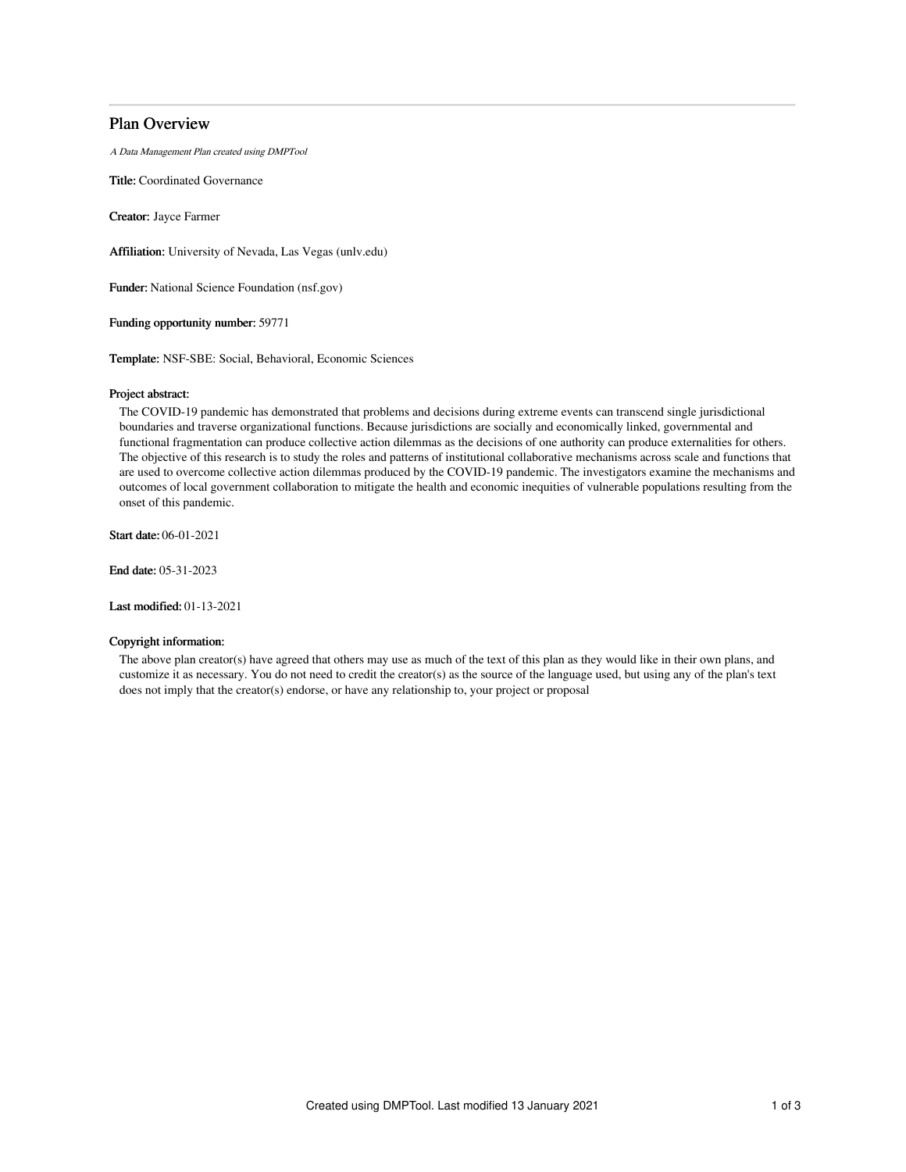# Plan Overview

A Data Management Plan created using DMPTool

Title: Coordinated Governance

Creator: Jayce Farmer

Affiliation: University of Nevada, Las Vegas (unlv.edu)

Funder: National Science Foundation (nsf.gov)

Funding opportunity number: 59771

Template: NSF-SBE: Social, Behavioral, Economic Sciences

## Project abstract:

The COVID-19 pandemic has demonstrated that problems and decisions during extreme events can transcend single jurisdictional boundaries and traverse organizational functions. Because jurisdictions are socially and economically linked, governmental and functional fragmentation can produce collective action dilemmas as the decisions of one authority can produce externalities for others. The objective of this research is to study the roles and patterns of institutional collaborative mechanisms across scale and functions that are used to overcome collective action dilemmas produced by the COVID-19 pandemic. The investigators examine the mechanisms and outcomes of local government collaboration to mitigate the health and economic inequities of vulnerable populations resulting from the onset of this pandemic.

Start date: 06-01-2021

End date: 05-31-2023

Last modified: 01-13-2021

# Copyright information:

The above plan creator(s) have agreed that others may use as much of the text of this plan as they would like in their own plans, and customize it as necessary. You do not need to credit the creator(s) as the source of the language used, but using any of the plan's text does not imply that the creator(s) endorse, or have any relationship to, your project or proposal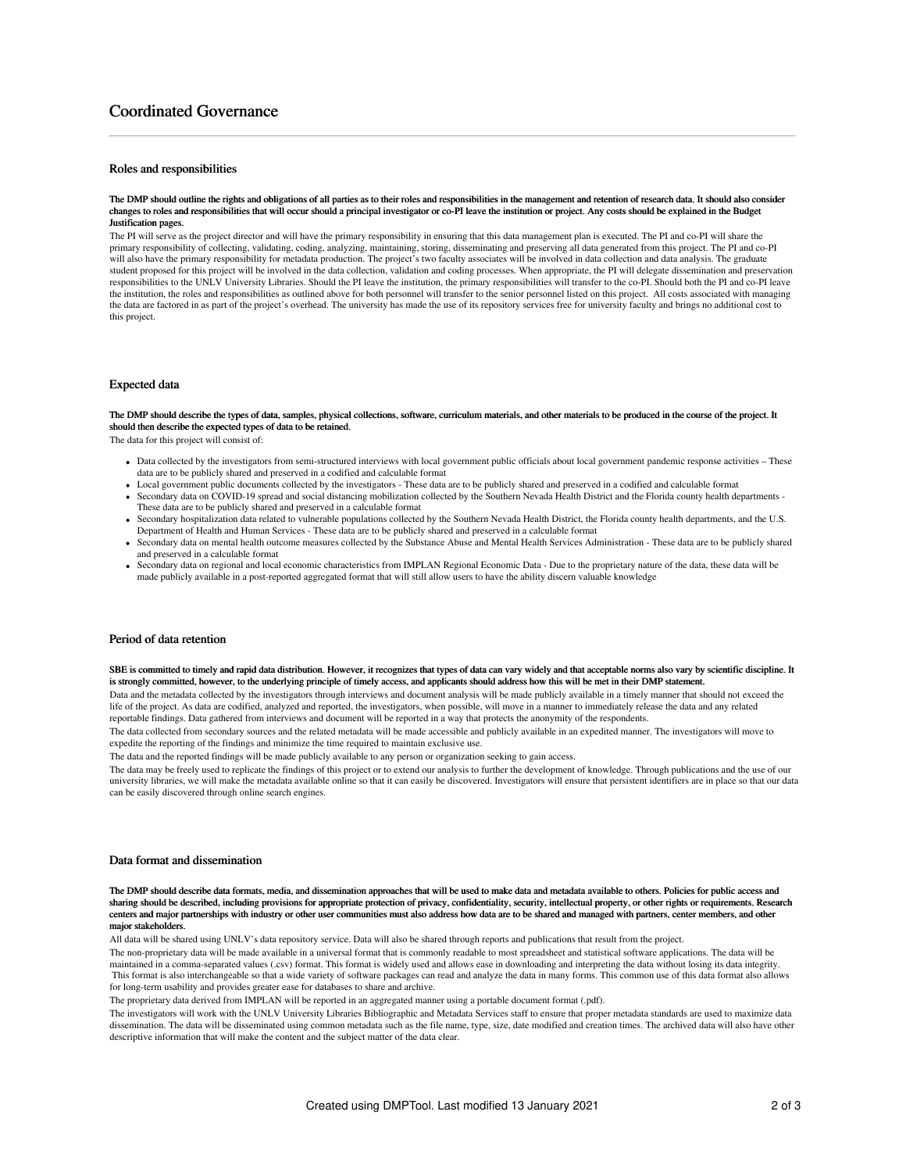# Coordinated Governance

## Roles and responsibilities

#### The DMP should outline the rights and obligations of all parties as to their roles and responsibilities in the management and retention of research data. It should also consider changes to roles and responsibilities that will occur should a principal investigator or co-PI leave the institution or project. Any costs should be explained in the Budget Justification pages.

The PI will serve as the project director and will have the primary responsibility in ensuring that this data management plan is executed. The PI and co-PI will share the primary responsibility of collecting, validating, coding, analyzing, maintaining, storing, disseminating and preserving all data generated from this project. The PI and co-PI will also have the primary responsibility for metadata production. The project's two faculty associates will be involved in data collection and data analysis. The graduate student proposed for this project will be involved in the data collection, validation and coding processes. When appropriate, the PI will delegate dissemination and preservation responsibilities to the UNLV University Libraries. Should the PI leave the institution, the primary responsibilities will transfer to the co-PI. Should both the PI and co-PI leave the institution, the roles and responsibilities as outlined above for both personnel will transfer to the senior personnel listed on this project. All costs associated with managing the data are factored in as part of the project's overhead. The university has made the use of its repository services free for university faculty and brings no additional cost to this project.

## Expected data

The DMP should describe the types of data, samples, physical collections, software, curriculum materials, and other materials to be produced in the course of the project. It should then describe the expected types of data to be retained.

The data for this project will consist of:

- Data collected by the investigators from semi-structured interviews with local government public officials about local government pandemic response activities These data are to be publicly shared and preserved in a codified and calculable format
- Local government public documents collected by the investigators These data are to be publicly shared and preserved in a codified and calculable format Secondary data on COVID-19 spread and social distancing mobilization collected by the Southern Nevada Health District and the Florida county health departments - These data are to be publicly shared and preserved in a calculable format
- Secondary hospitalization data related to vulnerable populations collected by the Southern Nevada Health District, the Florida county health departments, and the U.S. Department of Health and Human Services - These data are to be publicly shared and preserved in a calculable format
- Secondary data on mental health outcome measures collected by the Substance Abuse and Mental Health Services Administration These data are to be publicly shared and preserved in a calculable format
- Secondary data on regional and local economic characteristics from IMPLAN Regional Economic Data Due to the proprietary nature of the data, these data will be made publicly available in a post-reported aggregated format that will still allow users to have the ability discern valuable knowledge

#### Period of data retention

SBE is committed to timely and rapid data distribution. However, it recognizes that types of data can vary widely and that acceptable norms also vary by scientific discipline. It is strongly committed, however, to the underlying principle of timely access, and applicants should address how this will be met in their DMP statement.

Data and the metadata collected by the investigators through interviews and document analysis will be made publicly available in a timely manner that should not exceed the life of the project. As data are codified, analyzed and reported, the investigators, when possible, will move in a manner to immediately release the data and any related reportable findings. Data gathered from interviews and document will be reported in a way that protects the anonymity of the respondents.

The data collected from secondary sources and the related metadata will be made accessible and publicly available in an expedited manner. The investigators will move to expedite the reporting of the findings and minimize the time required to maintain exclusive use.

The data and the reported findings will be made publicly available to any person or organization seeking to gain access.

The data may be freely used to replicate the findings of this project or to extend our analysis to further the development of knowledge. Through publications and the use of our university libraries, we will make the metadata available online so that it can easily be discovered. Investigators will ensure that persistent identifiers are in place so that our data can be easily discovered through online search engines.

#### Data format and dissemination

The DMP should describe data formats, media, and dissemination approaches that will be used to make data and metadata available to others. Policies for public access and sharing should be described, including provisions for appropriate protection of privacy, confidentiality, security, intellectual property, or other rights or requirements. Research centers and major partnerships with industry or other user communities must also address how data are to be shared and managed with partners, center members, and other major stakeholders.

All data will be shared using UNLV's data repository service. Data will also be shared through reports and publications that result from the project.

The non-proprietary data will be made available in a universal format that is commonly readable to most spreadsheet and statistical software applications. The data will be maintained in a comma-separated values (.csv) format. This format is widely used and allows ease in downloading and interpreting the data without losing its data integrity. This format is also interchangeable so that a wide variety of software packages can read and analyze the data in many forms. This common use of this data format also allows for long-term usability and provides greater ease for databases to share and archive.

The proprietary data derived from IMPLAN will be reported in an aggregated manner using a portable document format (.pdf).

The investigators will work with the UNLV University Libraries Bibliographic and Metadata Services staff to ensure that proper metadata standards are used to maximize data dissemination. The data will be disseminated using common metadata such as the file name, type, size, date modified and creation times. The archived data will also have other descriptive information that will make the content and the subject matter of the data clear.